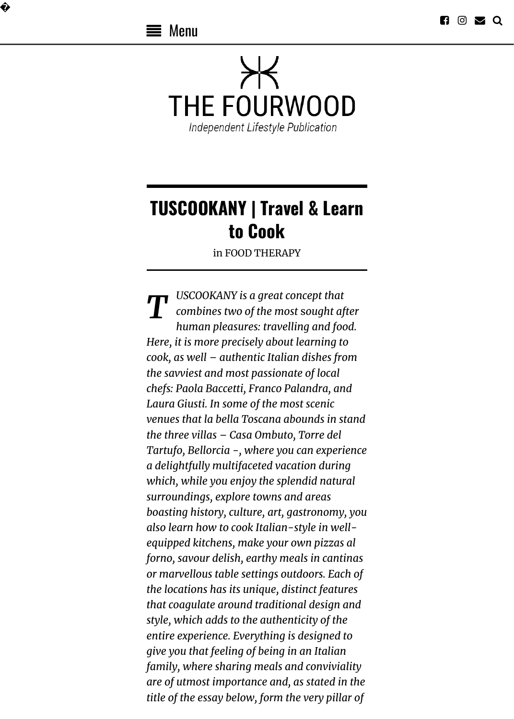�



# **TUSCOOKANY | Travel & Learn to Cook**

in [FOOD THERAPY](https://thefourwood.com/category/food-therapy/)

**T** *USCOOKANY* is a great concept that<br>combines two of the most sought af *combines two of the most* s*ought after human pleasures: travelling and food. Here, it is more precisely about learning to cook, as well – authentic Italian dishes from the savviest and most passionate of local chefs: Paola Baccetti, Franco Palandra, and Laura Giusti. In some of the most scenic venues that la bella Toscana abounds in stand the three villas – Casa Ombuto, Torre del Tartufo, Bellorcia -, where you can experience a delightfully multifaceted vacation during which, while you enjoy the splendid natural surroundings, explore towns and areas boasting history, culture, art, gastronomy, you also learn how to cook Italian-style in wellequipped kitchens, make your own pizzas al forno, savour delish, earthy meals in cantinas or marvellous table settings outdoors. Each of the locations has its unique, distinct features that coagulate around traditional design and style, which adds to the authenticity of the entire experience. Everything is designed to give you that feeling of being in an Italian family, where sharing meals and conviviality are of utmost importance and, as stated in the title of the essay below, form the very pillar of*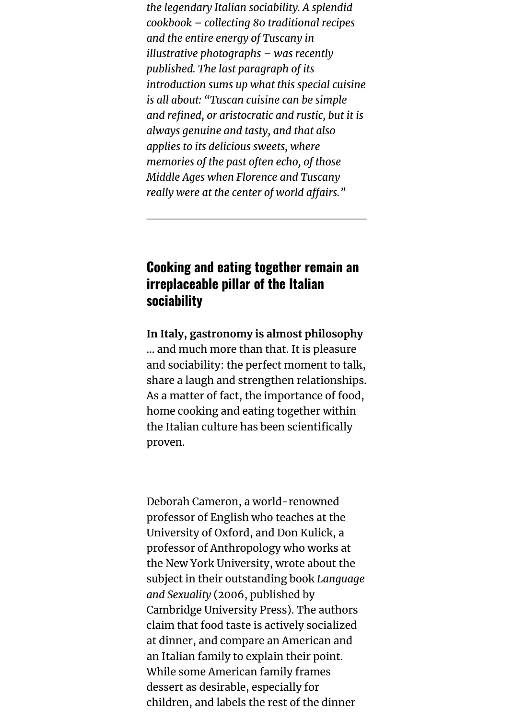*the legendary Italian sociability. A splendid cookbook – collecting 80 traditional recipes and the entire energy of Tuscany in illustrative photographs – was recently published. The last paragraph of its introduction sums up what this special cuisine is all about: "Tuscan cuisine can be simple and refined, or aristocratic and rustic, but it is always genuine and tasty, and that also applies to its delicious sweets, where memories of the past often echo, of those Middle Ages when Florence and Tuscany really were at the center of world affairs."* 

## **Cooking and eating together remain an irreplaceable pillar of the Italian sociability**

**In Italy, gastronomy is almost philosophy** … and much more than that. It is pleasure and sociability: the perfect moment to talk, share a laugh and strengthen relationships. As a matter of fact, the importance of food, home cooking and eating together within the Italian culture has been scientifically proven.

Deborah Cameron, a world-renowned professor of English who teaches at the University of Oxford, and Don Kulick, a professor of Anthropology who works at the New York University, wrote about the subject in their outstanding book *Language and Sexuality* (2006, published by Cambridge University Press). The authors claim that food taste is actively socialized at dinner, and compare an American and an Italian family to explain their point. While some American family frames dessert as desirable, especially for children, and labels the rest of the dinner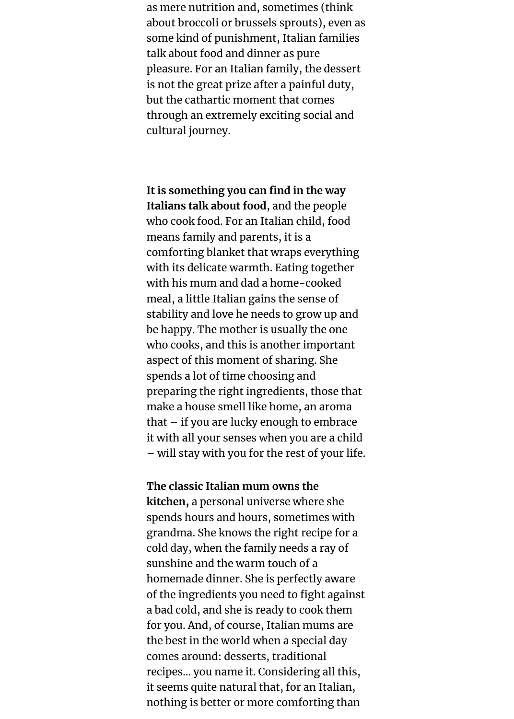as mere nutrition and, sometimes (think about broccoli or brussels sprouts), even as some kind of punishment, Italian families talk about food and dinner as pure pleasure. For an Italian family, the dessert is not the great prize after a painful duty, but the cathartic moment that comes through an extremely exciting social and cultural journey.

**It is something you can find in the way Italians talk about food**, and the people who cook food. For an Italian child, food means family and parents, it is a comforting blanket that wraps everything with its delicate warmth. Eating together with his mum and dad a home-cooked meal, a little Italian gains the sense of stability and love he needs to grow up and be happy. The mother is usually the one who cooks, and this is another important aspect of this moment of sharing. She spends a lot of time choosing and preparing the right ingredients, those that make a house smell like home, an aroma that – if you are lucky enough to embrace it with all your senses when you are a child – will stay with you for the rest of your life.

**The classic Italian mum owns the kitchen,** a personal universe where she spends hours and hours, sometimes with grandma. She knows the right recipe for a cold day, when the family needs a ray of sunshine and the warm touch of a homemade dinner. She is perfectly aware of the ingredients you need to fight against a bad cold, and she is ready to cook them for you. And, of course, Italian mums are the best in the world when a special day comes around: desserts, traditional recipes… you name it. Considering all this, it seems quite natural that, for an Italian, nothing is better or more comforting than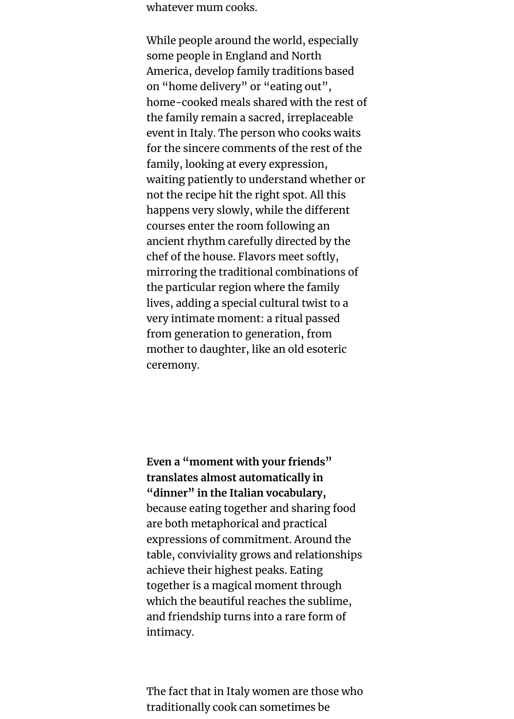whatever mum cooks.

While people around the world, especially some people in England and North America, develop family traditions based on "home delivery" or "eating out", home-cooked meals shared with the rest of the family remain a sacred, irreplaceable event in Italy. The person who cooks waits for the sincere comments of the rest of the family, looking at every expression, waiting patiently to understand whether or not the recipe hit the right spot. All this happens very slowly, while the different courses enter the room following an ancient rhythm carefully directed by the chef of the house. Flavors meet softly, mirroring the traditional combinations of the particular region where the family lives, adding a special cultural twist to a very intimate moment: a ritual passed from generation to generation, from mother to daughter, like an old esoteric ceremony.

**Even a "moment with your friends" translates almost automatically in "dinner" in the Italian vocabulary,** because eating together and sharing food are both metaphorical and practical expressions of commitment. Around the table, conviviality grows and relationships achieve their highest peaks. Eating together is a magical moment through which the beautiful reaches the sublime, and friendship turns into a rare form of intimacy.

The fact that in Italy women are those who traditionally cook can sometimes be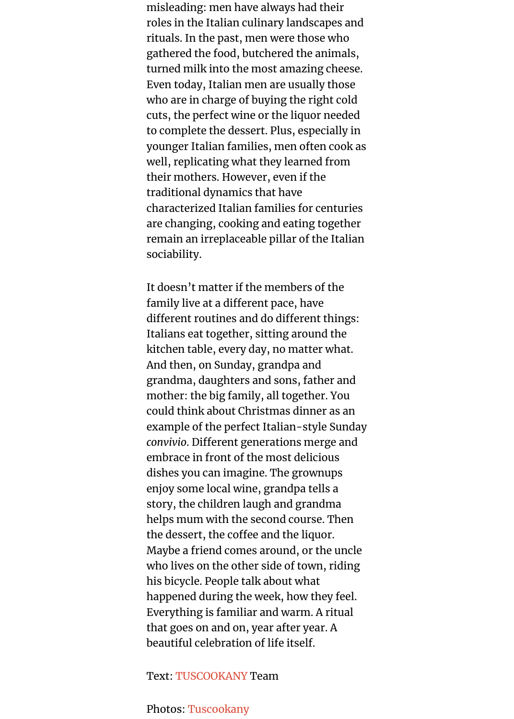misleading: men have always had their roles in the Italian culinary landscapes and rituals. In the past, men were those who gathered the food, butchered the animals, turned milk into the most amazing cheese. Even today, Italian men are usually those who are in charge of buying the right cold cuts, the perfect wine or the liquor needed to complete the dessert. Plus, especially in younger Italian families, men often cook as well, replicating what they learned from their mothers. However, even if the traditional dynamics that have characterized Italian families for centuries are changing, cooking and eating together remain an irreplaceable pillar of the Italian sociability.

It doesn't matter if the members of the family live at a different pace, have different routines and do different things: Italians eat together, sitting around the kitchen table, every day, no matter what. And then, on Sunday, grandpa and grandma, daughters and sons, father and mother: the big family, all together. You could think about Christmas dinner as an example of the perfect Italian-style Sunday *convivio*. Different generations merge and embrace in front of the most delicious dishes you can imagine. The grownups enjoy some local wine, grandpa tells a story, the children laugh and grandma helps mum with the second course. Then the dessert, the coffee and the liquor. Maybe a friend comes around, or the uncle who lives on the other side of town, riding his bicycle. People talk about what happened during the week, how they feel. Everything is familiar and warm. A ritual that goes on and on, year after year. A beautiful celebration of life itself.

#### Text: [TUSCOOKANY](http://tuscookany.com/) Team

Photos: [Tuscookany](http://tuscookany.com/)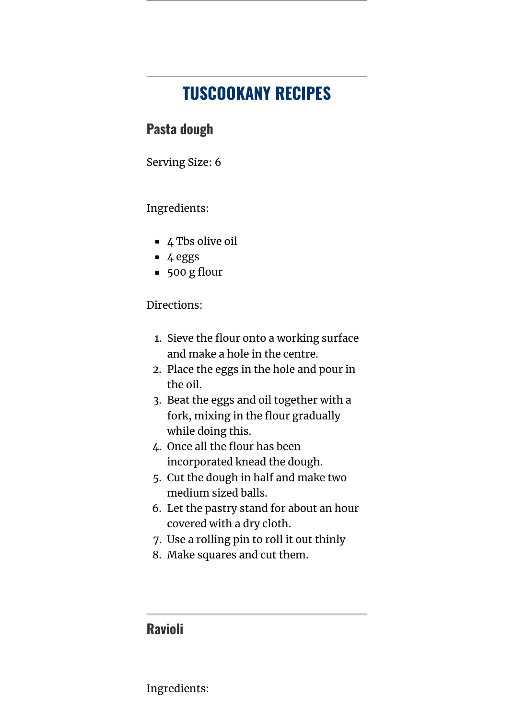## **TUSCOOKANY RECIPES**

## **Pasta dough**

Serving Size: 6

#### Ingredients:

- $\blacksquare$  4 Tbs olive oil
- 4 eggs
- $\overline{\phantom{0}}$  500 g flour

#### Directions:

- 1. Sieve the flour onto a working surface and make a hole in the centre.
- 2. Place the eggs in the hole and pour in the oil.
- 3. Beat the eggs and oil together with a fork, mixing in the flour gradually while doing this.
- 4. Once all the flour has been incorporated knead the dough.
- 5. Cut the dough in half and make two medium sized balls.
- 6. Let the pastry stand for about an hour covered with a dry cloth.
- 7. Use a rolling pin to roll it out thinly
- 8. Make squares and cut them.

## **Ravioli**

Ingredients: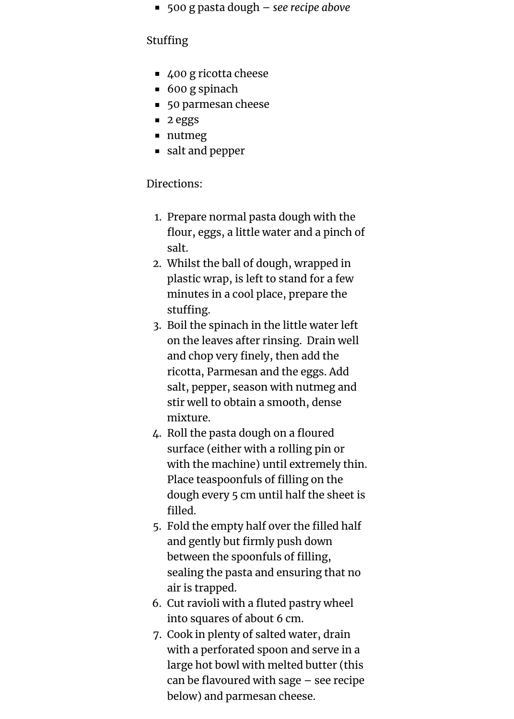500 g pasta dough – *see recipe above*

#### Stuffing

- 400 g ricotta cheese
- 600 g spinach
- 50 parmesan cheese
- 2 eggs
- nutmeg
- salt and pepper

### Directions:

- 1. Prepare normal pasta dough with the flour, eggs, a little water and a pinch of salt.
- 2. Whilst the ball of dough, wrapped in plastic wrap, is left to stand for a few minutes in a cool place, prepare the stuffing.
- 3. Boil the spinach in the little water left on the leaves after rinsing. Drain well and chop very finely, then add the ricotta, Parmesan and the eggs. Add salt, pepper, season with nutmeg and stir well to obtain a smooth, dense mixture.
- 4. Roll the pasta dough on a floured surface (either with a rolling pin or with the machine) until extremely thin. Place teaspoonfuls of filling on the dough every 5 cm until half the sheet is filled.
- 5. Fold the empty half over the filled half and gently but firmly push down between the spoonfuls of filling, sealing the pasta and ensuring that no air is trapped.
- 6. Cut ravioli with a fluted pastry wheel into squares of about 6 cm.
- 7. Cook in plenty of salted water, drain with a perforated spoon and serve in a large hot bowl with melted butter (this can be flavoured with sage – see recipe below) and parmesan cheese.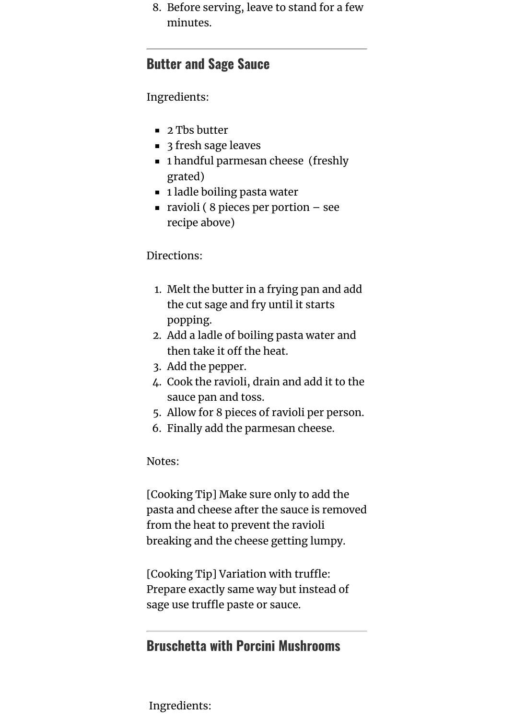8. Before serving, leave to stand for a few minutes.

### **Butter and Sage Sauce**

Ingredients:

- 2 Tbs butter
- 3 fresh sage leaves
- 1 handful parmesan cheese (freshly grated)
- 1 ladle boiling pasta water
- ravioli ( $8$  pieces per portion see recipe above)

#### Directions:

- 1. Melt the butter in a frying pan and add the cut sage and fry until it starts popping.
- 2. Add a ladle of boiling pasta water and then take it off the heat.
- 3. Add the pepper.
- 4. Cook the ravioli, drain and add it to the sauce pan and toss.
- 5. Allow for 8 pieces of ravioli per person.
- 6. Finally add the parmesan cheese.

#### Notes:

[Cooking Tip] Make sure only to add the pasta and cheese after the sauce is removed from the heat to prevent the ravioli breaking and the cheese getting lumpy.

[Cooking Tip] Variation with truffle: Prepare exactly same way but instead of sage use truffle paste or sauce.

## **Bruschetta with Porcini Mushrooms**

Ingredients: